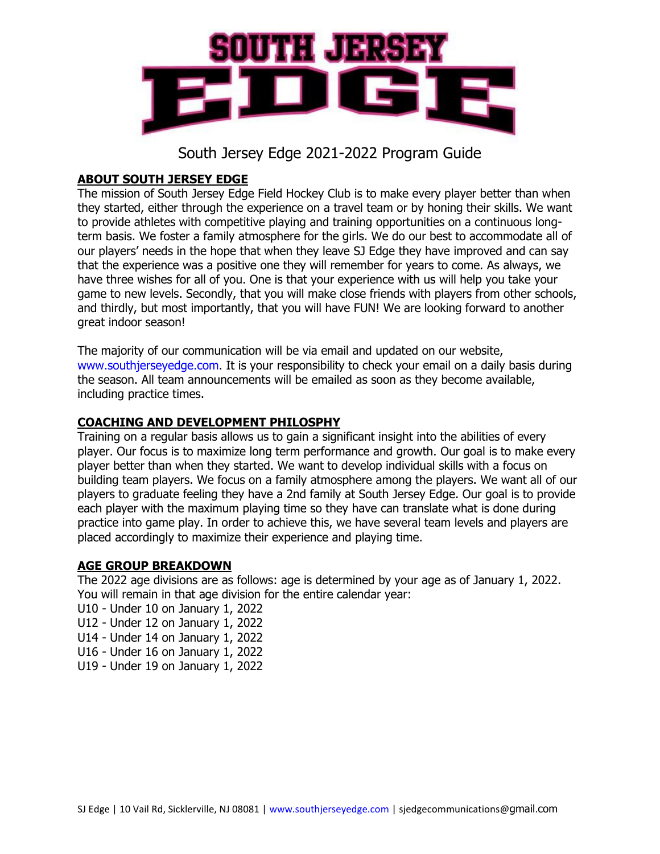

### **ABOUT SOUTH JERSEY EDGE**

The mission of South Jersey Edge Field Hockey Club is to make every player better than when they started, either through the experience on a travel team or by honing their skills. We want to provide athletes with competitive playing and training opportunities on a continuous longterm basis. We foster a family atmosphere for the girls. We do our best to accommodate all of our players' needs in the hope that when they leave SJ Edge they have improved and can say that the experience was a positive one they will remember for years to come. As always, we have three wishes for all of you. One is that your experience with us will help you take your game to new levels. Secondly, that you will make close friends with players from other schools, and thirdly, but most importantly, that you will have FUN! We are looking forward to another great indoor season!

The majority of our communication will be via email and updated on our website, www.southjerseyedge.com. It is your responsibility to check your email on a daily basis during the season. All team announcements will be emailed as soon as they become available, including practice times.

### **COACHING AND DEVELOPMENT PHILOSPHY**

Training on a regular basis allows us to gain a significant insight into the abilities of every player. Our focus is to maximize long term performance and growth. Our goal is to make every player better than when they started. We want to develop individual skills with a focus on building team players. We focus on a family atmosphere among the players. We want all of our players to graduate feeling they have a 2nd family at South Jersey Edge. Our goal is to provide each player with the maximum playing time so they have can translate what is done during practice into game play. In order to achieve this, we have several team levels and players are placed accordingly to maximize their experience and playing time.

### **AGE GROUP BREAKDOWN**

The 2022 age divisions are as follows: age is determined by your age as of January 1, 2022. You will remain in that age division for the entire calendar year:

- U10 Under 10 on January 1, 2022
- U12 Under 12 on January 1, 2022
- U14 Under 14 on January 1, 2022
- U16 Under 16 on January 1, 2022
- U19 Under 19 on January 1, 2022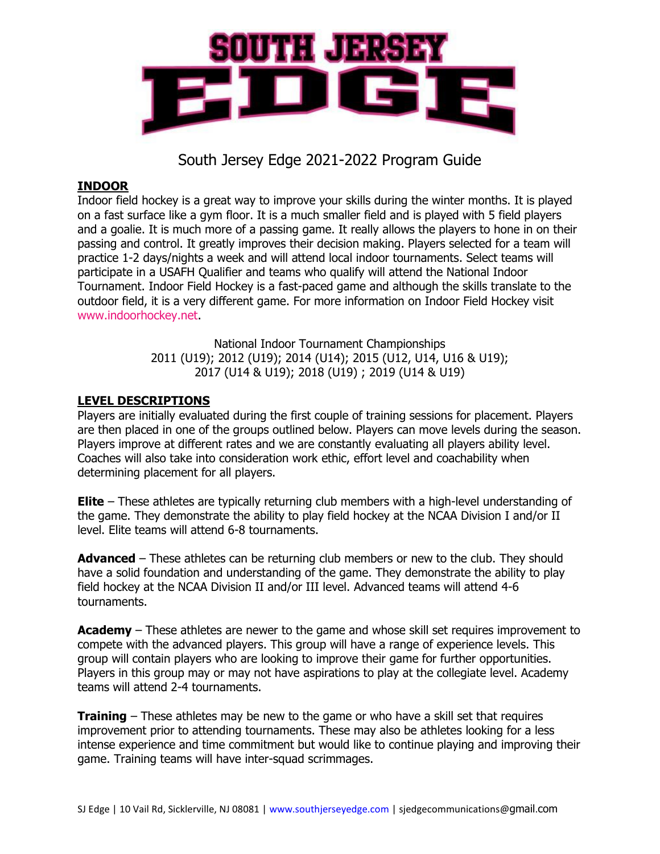

### **INDOOR**

Indoor field hockey is a great way to improve your skills during the winter months. It is played on a fast surface like a gym floor. It is a much smaller field and is played with 5 field players and a goalie. It is much more of a passing game. It really allows the players to hone in on their passing and control. It greatly improves their decision making. Players selected for a team will practice 1-2 days/nights a week and will attend local indoor tournaments. Select teams will participate in a USAFH Qualifier and teams who qualify will attend the National Indoor Tournament. Indoor Field Hockey is a fast-paced game and although the skills translate to the outdoor field, it is a very different game. For more information on Indoor Field Hockey visit www.indoorhockey.net.

> National Indoor Tournament Championships 2011 (U19); 2012 (U19); 2014 (U14); 2015 (U12, U14, U16 & U19); 2017 (U14 & U19); 2018 (U19) ; 2019 (U14 & U19)

#### **LEVEL DESCRIPTIONS**

Players are initially evaluated during the first couple of training sessions for placement. Players are then placed in one of the groups outlined below. Players can move levels during the season. Players improve at different rates and we are constantly evaluating all players ability level. Coaches will also take into consideration work ethic, effort level and coachability when determining placement for all players.

**Elite** – These athletes are typically returning club members with a high-level understanding of the game. They demonstrate the ability to play field hockey at the NCAA Division I and/or II level. Elite teams will attend 6-8 tournaments.

**Advanced** – These athletes can be returning club members or new to the club. They should have a solid foundation and understanding of the game. They demonstrate the ability to play field hockey at the NCAA Division II and/or III level. Advanced teams will attend 4-6 tournaments.

**Academy** – These athletes are newer to the game and whose skill set requires improvement to compete with the advanced players. This group will have a range of experience levels. This group will contain players who are looking to improve their game for further opportunities. Players in this group may or may not have aspirations to play at the collegiate level. Academy teams will attend 2-4 tournaments.

**Training** – These athletes may be new to the game or who have a skill set that requires improvement prior to attending tournaments. These may also be athletes looking for a less intense experience and time commitment but would like to continue playing and improving their game. Training teams will have inter-squad scrimmages.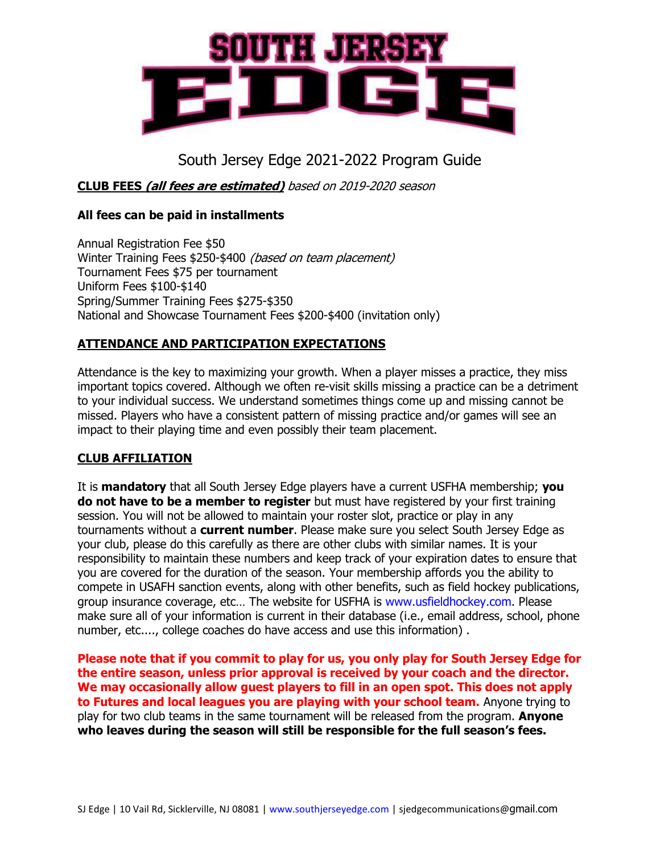

### **CLUB FEES (all fees are estimated)** based on 2019-2020 season

#### **All fees can be paid in installments**

Annual Registration Fee \$50 Winter Training Fees \$250-\$400 *(based on team placement)* Tournament Fees \$75 per tournament Uniform Fees \$100-\$140 Spring/Summer Training Fees \$275-\$350 National and Showcase Tournament Fees \$200-\$400 (invitation only)

### **ATTENDANCE AND PARTICIPATION EXPECTATIONS**

Attendance is the key to maximizing your growth. When a player misses a practice, they miss important topics covered. Although we often re-visit skills missing a practice can be a detriment to your individual success. We understand sometimes things come up and missing cannot be missed. Players who have a consistent pattern of missing practice and/or games will see an impact to their playing time and even possibly their team placement.

### **CLUB AFFILIATION**

It is **mandatory** that all South Jersey Edge players have a current USFHA membership; **you do not have to be a member to register** but must have registered by your first training session. You will not be allowed to maintain your roster slot, practice or play in any tournaments without a **current number**. Please make sure you select South Jersey Edge as your club, please do this carefully as there are other clubs with similar names. It is your responsibility to maintain these numbers and keep track of your expiration dates to ensure that you are covered for the duration of the season. Your membership affords you the ability to compete in USAFH sanction events, along with other benefits, such as field hockey publications, group insurance coverage, etc… The website for USFHA is www.usfieldhockey.com. Please make sure all of your information is current in their database (i.e., email address, school, phone number, etc...., college coaches do have access and use this information) .

**Please note that if you commit to play for us, you only play for South Jersey Edge for the entire season, unless prior approval is received by your coach and the director. We may occasionally allow guest players to fill in an open spot. This does not apply to Futures and local leagues you are playing with your school team.** Anyone trying to play for two club teams in the same tournament will be released from the program. **Anyone who leaves during the season will still be responsible for the full season's fees.**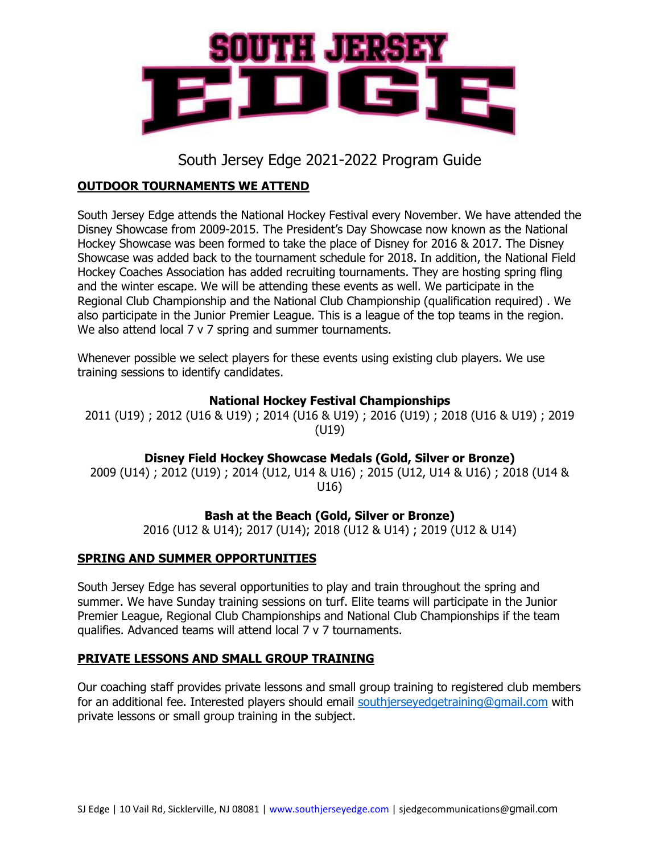

## **OUTDOOR TOURNAMENTS WE ATTEND**

South Jersey Edge attends the National Hockey Festival every November. We have attended the Disney Showcase from 2009-2015. The President's Day Showcase now known as the National Hockey Showcase was been formed to take the place of Disney for 2016 & 2017. The Disney Showcase was added back to the tournament schedule for 2018. In addition, the National Field Hockey Coaches Association has added recruiting tournaments. They are hosting spring fling and the winter escape. We will be attending these events as well. We participate in the Regional Club Championship and the National Club Championship (qualification required) . We also participate in the Junior Premier League. This is a league of the top teams in the region. We also attend local 7 v 7 spring and summer tournaments.

Whenever possible we select players for these events using existing club players. We use training sessions to identify candidates.

### **National Hockey Festival Championships**

2011 (U19) ; 2012 (U16 & U19) ; 2014 (U16 & U19) ; 2016 (U19) ; 2018 (U16 & U19) ; 2019 (U19)

**Disney Field Hockey Showcase Medals (Gold, Silver or Bronze)**

2009 (U14) ; 2012 (U19) ; 2014 (U12, U14 & U16) ; 2015 (U12, U14 & U16) ; 2018 (U14 & U16)

## **Bash at the Beach (Gold, Silver or Bronze)**

2016 (U12 & U14); 2017 (U14); 2018 (U12 & U14) ; 2019 (U12 & U14)

### **SPRING AND SUMMER OPPORTUNITIES**

South Jersey Edge has several opportunities to play and train throughout the spring and summer. We have Sunday training sessions on turf. Elite teams will participate in the Junior Premier League, Regional Club Championships and National Club Championships if the team qualifies. Advanced teams will attend local 7 v 7 tournaments.

### **PRIVATE LESSONS AND SMALL GROUP TRAINING**

Our coaching staff provides private lessons and small group training to registered club members for an additional fee. Interested players should email [southjerseyedgetraining@gmail.com](mailto:southjerseyedgetraining@gmail.com) with private lessons or small group training in the subject.